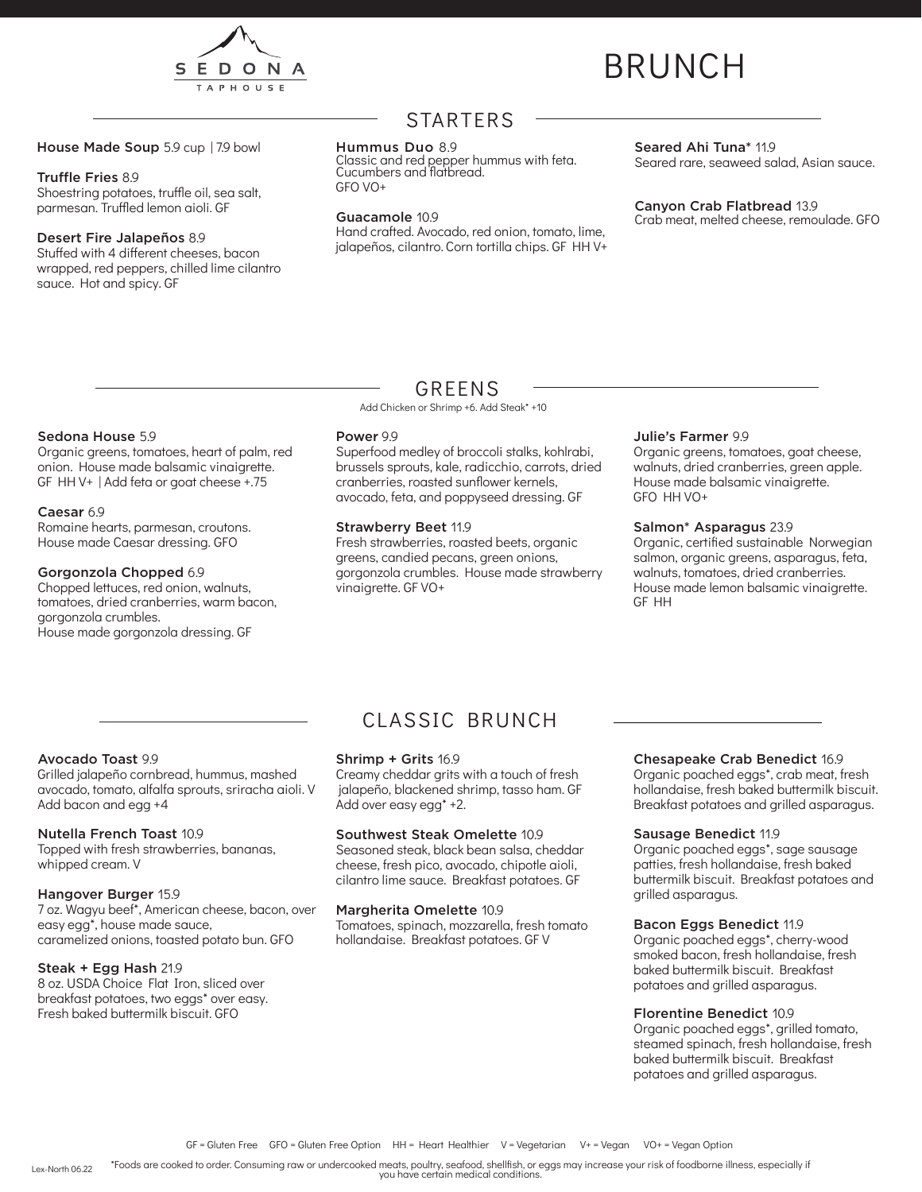

# BRUNCH

House Made Soup 5.9 cup | 7.9 bowl

#### Truffle Fries 8.9

Shoestring potatoes, truffle oil, sea salt, parmesan. Truffled lemon aioli. GF

#### Desert Fire Jalapeños 8.9

Stuffed with 4 different cheeses, bacon wrapped, red peppers, chilled lime cilantro sauce. Hot and spicy. GF

## STARTERS

#### Hummus Duo 8.9

Classic and red pepper hummus with feta. Cucumbers and flatbread. GFO VO+

#### Guacamole 10.9

Hand crafted. Avocado, red onion, tomato, lime, jalapeños, cilantro. Corn tortilla chips. GF HH V+

#### Seared Ahi Tuna<sup>\*</sup> 11.9

Seared rare, seaweed salad, Asian sauce.

Canyon Crab Flatbread 13.9 Crab meat, melted cheese, remoulade. GFO

### Sedona House 5.9

Organic greens, tomatoes, heart of palm, red onion. House made balsamic vinaigrette. GF HH V+ | Add feta or goat cheese +.75

#### Caesar 6.9

Romaine hearts, parmesan, croutons. House made Caesar dressing. GFO

#### Gorgonzola Chopped 6.9

Chopped lettuces, red onion, walnuts, tomatoes, dried cranberries, warm bacon, gorgonzola crumbles. House made gorgonzola dressing. GF

### GREENS

Add Chicken or Shrimp +6. Add Steak\* +10

#### Power 9.9

Superfood medley of broccoli stalks, kohlrabi, brussels sprouts, kale, radicchio, carrots, dried cranberries, roasted sunflower kernels, avocado, feta, and poppyseed dressing. GF

#### Strawberry Beet 11.9

Fresh strawberries, roasted beets, organic greens, candied pecans, green onions, gorgonzola crumbles. House made strawberry vinaigrette. GF VO+

#### Julie's Farmer 9.9

Organic greens, tomatoes, goat cheese, walnuts, dried cranberries, green apple. House made balsamic vinaigrette. GFO HH VO+

#### Salmon\* Asparagus 23.9

Organic, certified sustainable Norwegian salmon, organic greens, asparagus, feta, walnuts, tomatoes, dried cranberries. House made lemon balsamic vinaigrette. GF HH

#### Avocado Toast 9.9

Grilled jalapeño cornbread, hummus, mashed avocado, tomato, alfalfa sprouts, sriracha aioli. V Add bacon and egg +4

#### Nutella French Toast 10.9

Topped with fresh strawberries, bananas, whipped cream. V

#### Hangover Burger 15.9

7 oz. Wagyu beef\*, American cheese, bacon, over easy egg\*, house made sauce, caramelized onions, toasted potato bun. GFO

#### Steak + Egg Hash 21.9

8 oz. USDA Choice Flat Iron, sliced over breakfast potatoes, two eggs\* over easy. Fresh baked buttermilk biscuit. GFO

# CLASSIC BRUNCH

#### Shrimp + Grits 16.9

Creamy cheddar grits with a touch of fresh jalapeño, blackened shrimp, tasso ham. GF Add over easy egg\* +2.

#### Southwest Steak Omelette 10.9

Seasoned steak, black bean salsa, cheddar cheese, fresh pico, avocado, chipotle aioli, cilantro lime sauce. Breakfast potatoes. GF

#### Margherita Omelette 10.9

Tomatoes, spinach, mozzarella, fresh tomato hollandaise. Breakfast potatoes. GF V

#### Chesapeake Crab Benedict 16.9

Organic poached eggs\*, crab meat, fresh hollandaise, fresh baked buttermilk biscuit. Breakfast potatoes and grilled asparagus.

#### Sausage Benedict 11.9

Organic poached eggs\*, sage sausage patties, fresh hollandaise, fresh baked buttermilk biscuit. Breakfast potatoes and grilled asparagus.

#### Bacon Eggs Benedict 11.9

Organic poached eggs\*, cherry-wood smoked bacon, fresh hollandaise, fresh baked buttermilk biscuit. Breakfast potatoes and grilled asparagus.

#### Florentine Benedict 10.9

Organic poached eggs\*, grilled tomato, steamed spinach, fresh hollandaise, fresh baked buttermilk biscuit. Breakfast potatoes and grilled asparagus.

\*Foods are cooked to order. Consuming raw or undercooked meats, poultry, seafood, shellfish, or eggs may increase your risk of foodborne illness, especially if you have certain medical conditions. Lex-North 06.22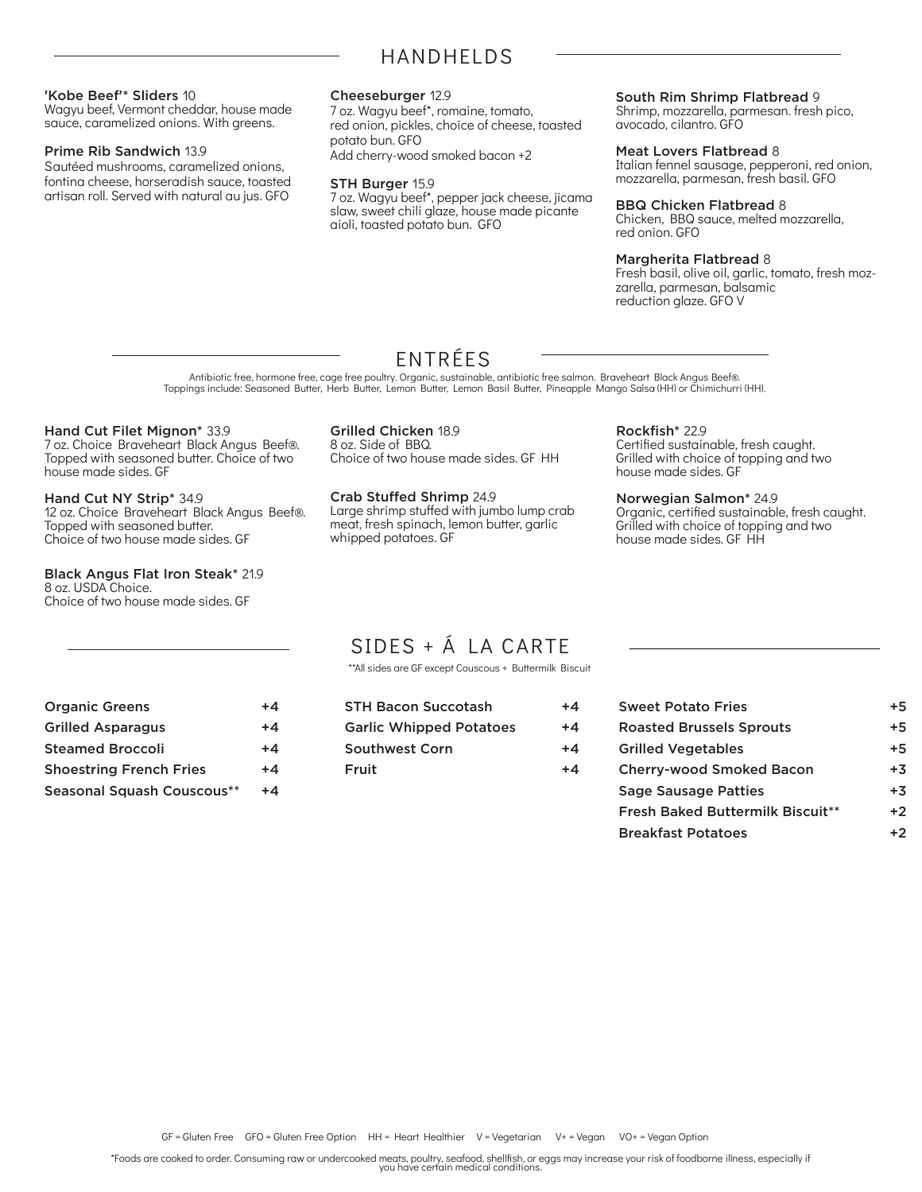#### 'Kobe Beef'\* Sliders 10

Wagyu beef, Vermont cheddar, house made sauce, caramelized onions. With greens.

#### Prime Rib Sandwich 13.9

Sautéed mushrooms, caramelized onions, fontina cheese, horseradish sauce, toasted artisan roll. Served with natural au jus. GFO

#### Cheeseburger 12.9

7 oz. Wagyu beef\*, romaine, tomato, red onion, pickles, choice of cheese, toasted potato bun. GFO Add cherry-wood smoked bacon +2

#### STH Burger 15.9

7 oz. Wagyu beef\*, pepper jack cheese, jicama slaw, sweet chili glaze, house made picante aioli, toasted potato bun. GFO

#### South Rim Shrimp Flatbread 9

Shrimp, mozzarella, parmesan. fresh pico, avocado, cilantro. GFO

#### Meat Lovers Flatbread 8

Italian fennel sausage, pepperoni, red onion, mozzarella, parmesan, fresh basil. GFO

#### BBQ Chicken Flatbread 8

Chicken, BBQ sauce, melted mozzarella, red onion. GFO

#### Margherita Flatbread 8

Fresh basil, olive oil, garlic, tomato, fresh mozzarella, parmesan, balsamic reduction glaze. GFO V

ENTRÉES Antibiotic free, hormone free, cage free poultry. Organic, sustainable, antibiotic free salmon. Braveheart Black Angus Beef®.

Toppings include: Seasoned Butter, Herb Butter, Lemon Butter, Lemon Basil Butter, Pineapple Mango Salsa (HH) or Chimichurri (HH).

#### Hand Cut Filet Mignon\* 33.9

7 oz. Choice Braveheart Black Angus Beef®. Topped with seasoned butter. Choice of two house made sides. GF

Hand Cut NY Strip\* 34.9 12 oz. Choice Braveheart Black Angus Beef®. Topped with seasoned butter. Choice of two house made sides. GF

#### Black Angus Flat Iron Steak\* 21.9 8 oz. USDA Choice.

Choice of two house made sides. GF

Grilled Chicken 18.9 8 oz. Side of BBQ. Choice of two house made sides. GF HH

Crab Stuffed Shrimp 24.9 Large shrimp stuffed with jumbo lump crab meat, fresh spinach, lemon butter, garlic whipped potatoes. GF

Rockfish\* 22.9 Certified sustainable, fresh caught. Grilled with choice of topping and two house made sides. GF

#### Norwegian Salmon\* 24.9

Organic, certified sustainable, fresh caught. Grilled with choice of topping and two house made sides. GF HH

# SIDES + Á LA CARTE

\*\*All sides are GF except Couscous + Buttermilk Biscuit

| <b>Organic Greens</b>          | $+4$ |
|--------------------------------|------|
| <b>Grilled Asparagus</b>       | $+4$ |
| <b>Steamed Broccoli</b>        | $+4$ |
| <b>Shoestring French Fries</b> | $+4$ |
| Seasonal Squash Couscous**     | +4   |

| <b>STH Bacon Succotash</b>     | $+4$ |
|--------------------------------|------|
| <b>Garlic Whipped Potatoes</b> | $+4$ |
| <b>Southwest Corn</b>          | $+4$ |
| Fruit                          | $+4$ |
|                                |      |

| <b>Sweet Potato Fries</b>               | +5   |
|-----------------------------------------|------|
| <b>Roasted Brussels Sprouts</b>         | +5   |
| <b>Grilled Vegetables</b>               | +5   |
| <b>Cherry-wood Smoked Bacon</b>         | $+3$ |
| <b>Sage Sausage Patties</b>             | $+3$ |
| <b>Fresh Baked Buttermilk Biscuit**</b> | $+2$ |
| <b>Breakfast Potatoes</b>               | +2   |
|                                         |      |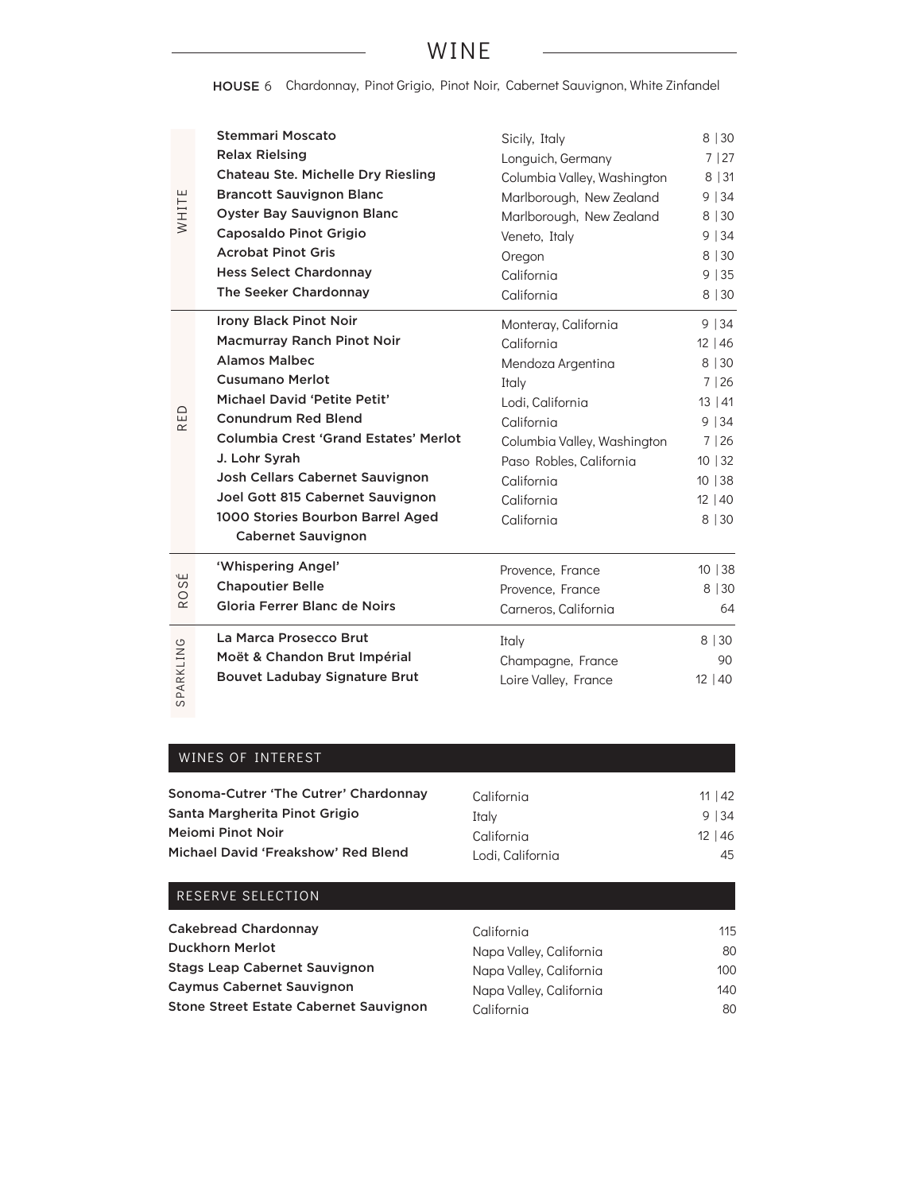# WINE

HOUSE 6 Chardonnay, Pinot Grigio, Pinot Noir, Cabernet Sauvignon, White Zinfandel

| WHITE              | <b>Stemmari Moscato</b>                                                                                                                                                                                                                                                                                                                                    | Sicily, Italy                                                                                                                                                                  | 8   30                                                                            |
|--------------------|------------------------------------------------------------------------------------------------------------------------------------------------------------------------------------------------------------------------------------------------------------------------------------------------------------------------------------------------------------|--------------------------------------------------------------------------------------------------------------------------------------------------------------------------------|-----------------------------------------------------------------------------------|
|                    | <b>Relax Rielsing</b>                                                                                                                                                                                                                                                                                                                                      | Longuich, Germany                                                                                                                                                              | 7 27                                                                              |
|                    | <b>Chateau Ste. Michelle Dry Riesling</b>                                                                                                                                                                                                                                                                                                                  | Columbia Valley, Washington                                                                                                                                                    | 8 31                                                                              |
|                    | <b>Brancott Sauvignon Blanc</b>                                                                                                                                                                                                                                                                                                                            | Marlborough, New Zealand                                                                                                                                                       | 9 34                                                                              |
|                    | <b>Oyster Bay Sauvignon Blanc</b>                                                                                                                                                                                                                                                                                                                          | Marlborough, New Zealand                                                                                                                                                       | 8 30                                                                              |
|                    | Caposaldo Pinot Grigio                                                                                                                                                                                                                                                                                                                                     | Veneto, Italy                                                                                                                                                                  | 9 34                                                                              |
|                    | <b>Acrobat Pinot Gris</b>                                                                                                                                                                                                                                                                                                                                  | Oregon                                                                                                                                                                         | 8 30                                                                              |
|                    | <b>Hess Select Chardonnay</b>                                                                                                                                                                                                                                                                                                                              | California                                                                                                                                                                     | 9 35                                                                              |
|                    | The Seeker Chardonnay                                                                                                                                                                                                                                                                                                                                      | California                                                                                                                                                                     | 8 30                                                                              |
|                    | <b>Irony Black Pinot Noir</b>                                                                                                                                                                                                                                                                                                                              | Monteray, California                                                                                                                                                           | 9 34                                                                              |
| $\Xi$<br>$\propto$ | <b>Macmurray Ranch Pinot Noir</b><br><b>Alamos Malbec</b><br><b>Cusumano Merlot</b><br>Michael David 'Petite Petit'<br><b>Conundrum Red Blend</b><br><b>Columbia Crest 'Grand Estates' Merlot</b><br>J. Lohr Syrah<br>Josh Cellars Cabernet Sauvignon<br>Joel Gott 815 Cabernet Sauvignon<br>1000 Stories Bourbon Barrel Aged<br><b>Cabernet Sauvignon</b> | California<br>Mendoza Argentina<br>Italy<br>Lodi, California<br>California<br>Columbia Valley, Washington<br>Paso Robles, California<br>California<br>California<br>California | 12 46<br>8 30<br>7 26<br>13 41<br>9 34<br>7 26<br>10 32<br>10 38<br>12 40<br>8 30 |
| ЭS                 | 'Whispering Angel'                                                                                                                                                                                                                                                                                                                                         | Provence, France                                                                                                                                                               | 10 38                                                                             |
| O                  | <b>Chapoutier Belle</b>                                                                                                                                                                                                                                                                                                                                    | Provence, France                                                                                                                                                               | 8 30                                                                              |
| $\simeq$           | Gloria Ferrer Blanc de Noirs                                                                                                                                                                                                                                                                                                                               | Carneros, California                                                                                                                                                           | 64                                                                                |
| SPARKLING          | La Marca Prosecco Brut                                                                                                                                                                                                                                                                                                                                     | Italy                                                                                                                                                                          | 8 30                                                                              |
|                    | Moët & Chandon Brut Impérial                                                                                                                                                                                                                                                                                                                               | Champagne, France                                                                                                                                                              | 90                                                                                |
|                    | <b>Bouvet Ladubay Signature Brut</b>                                                                                                                                                                                                                                                                                                                       | Loire Valley, France                                                                                                                                                           | 12 40                                                                             |

### WINES OF INTEREST

RESERVE SELECTION

| Sonoma-Cutrer 'The Cutrer' Chardonnay | California       | 11   42 |
|---------------------------------------|------------------|---------|
| Santa Margherita Pinot Grigio         | Italv            | 9 34    |
| Mejomi Pinot Noir                     | California       | 12 46   |
| Michael David 'Freakshow' Red Blend   | Lodi. California | 45      |
|                                       |                  |         |

| <b>Cakebread Chardonnay</b>            | California              | 115 |
|----------------------------------------|-------------------------|-----|
| <b>Duckhorn Merlot</b>                 | Napa Valley, California | 80  |
| <b>Stags Leap Cabernet Sauvignon</b>   | Napa Valley, California | 100 |
| <b>Caymus Cabernet Sauvignon</b>       | Napa Valley, California | 140 |
| Stone Street Estate Cabernet Sauvignon | California              | 80  |